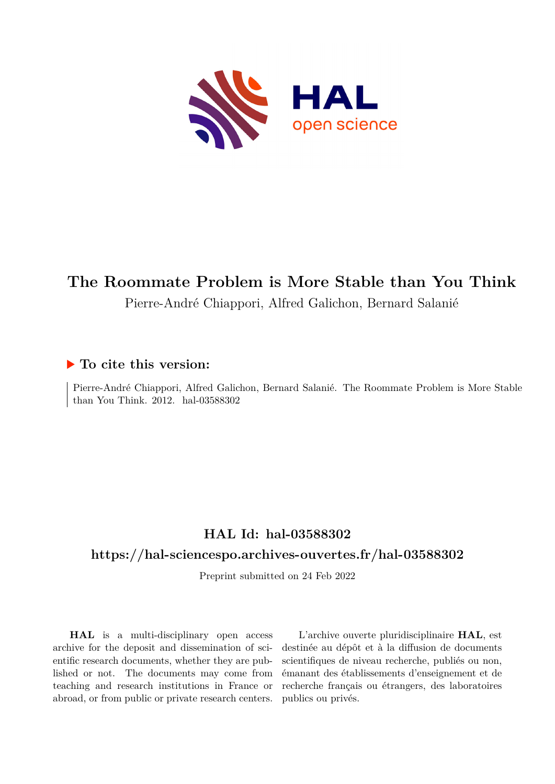

# **The Roommate Problem is More Stable than You Think**

Pierre-André Chiappori, Alfred Galichon, Bernard Salanié

## **To cite this version:**

Pierre-André Chiappori, Alfred Galichon, Bernard Salanié. The Roommate Problem is More Stable than You Think.  $2012.$  hal- $03588302$ 

## **HAL Id: hal-03588302**

## **<https://hal-sciencespo.archives-ouvertes.fr/hal-03588302>**

Preprint submitted on 24 Feb 2022

**HAL** is a multi-disciplinary open access archive for the deposit and dissemination of scientific research documents, whether they are published or not. The documents may come from teaching and research institutions in France or abroad, or from public or private research centers.

L'archive ouverte pluridisciplinaire **HAL**, est destinée au dépôt et à la diffusion de documents scientifiques de niveau recherche, publiés ou non, émanant des établissements d'enseignement et de recherche français ou étrangers, des laboratoires publics ou privés.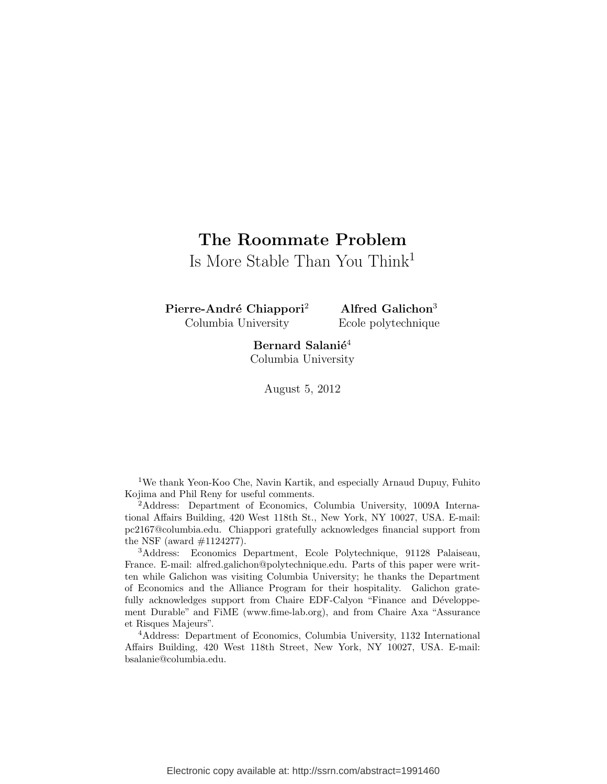## The Roommate Problem

Is More Stable Than You Think<sup>1</sup>

Pierre-André Chiappori<sup>2</sup> Columbia University

Alfred Galichon<sup>3</sup> Ecole polytechnique

Bernard Salani $\acute{\rm e}^4$ Columbia University

August 5, 2012

<sup>1</sup>We thank Yeon-Koo Che, Navin Kartik, and especially Arnaud Dupuy, Fuhito Kojima and Phil Reny for useful comments.

<sup>2</sup>Address: Department of Economics, Columbia University, 1009A International Affairs Building, 420 West 118th St., New York, NY 10027, USA. E-mail: pc2167@columbia.edu. Chiappori gratefully acknowledges financial support from the NSF (award #1124277).

<sup>3</sup>Address: Economics Department, Ecole Polytechnique, 91128 Palaiseau, France. E-mail: alfred.galichon@polytechnique.edu. Parts of this paper were written while Galichon was visiting Columbia University; he thanks the Department of Economics and the Alliance Program for their hospitality. Galichon gratefully acknowledges support from Chaire EDF-Calyon "Finance and Développement Durable" and FiME (www.fime-lab.org), and from Chaire Axa "Assurance et Risques Majeurs".

<sup>4</sup>Address: Department of Economics, Columbia University, 1132 International Affairs Building, 420 West 118th Street, New York, NY 10027, USA. E-mail: bsalanie@columbia.edu.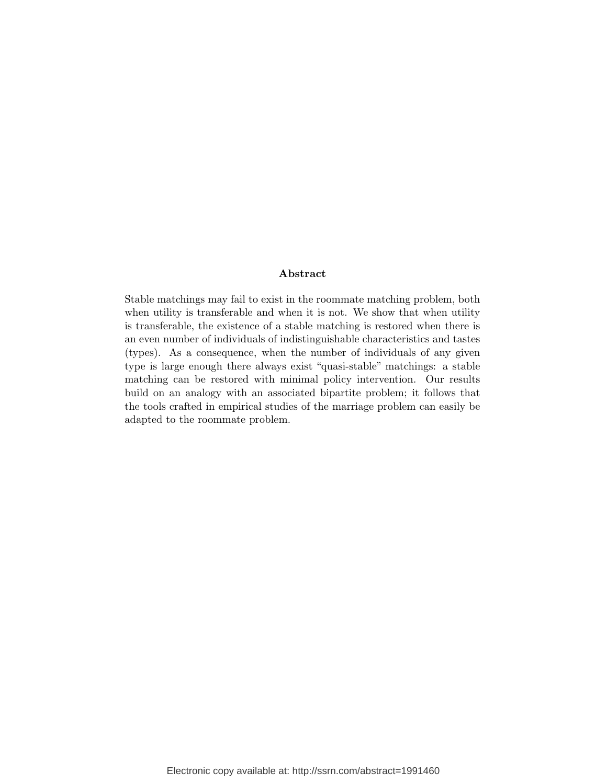#### Abstract

Stable matchings may fail to exist in the roommate matching problem, both when utility is transferable and when it is not. We show that when utility is transferable, the existence of a stable matching is restored when there is an even number of individuals of indistinguishable characteristics and tastes (types). As a consequence, when the number of individuals of any given type is large enough there always exist "quasi-stable" matchings: a stable matching can be restored with minimal policy intervention. Our results build on an analogy with an associated bipartite problem; it follows that the tools crafted in empirical studies of the marriage problem can easily be adapted to the roommate problem.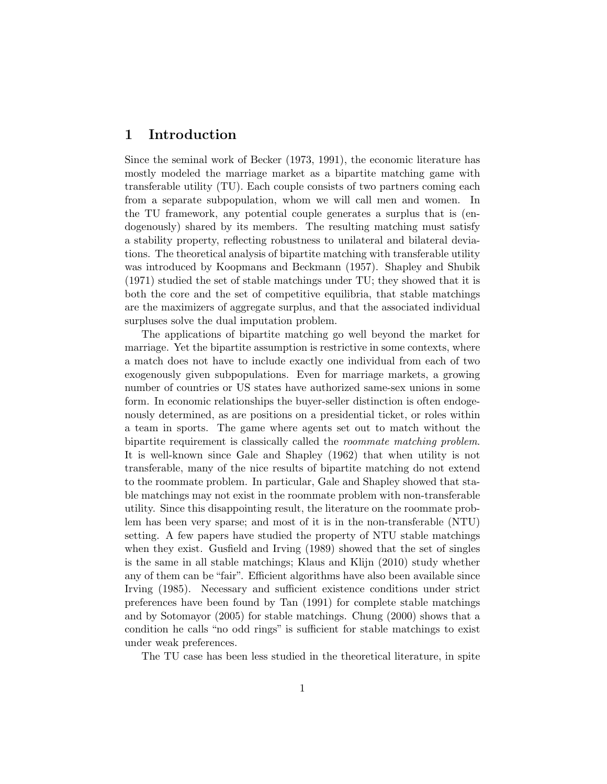## 1 Introduction

Since the seminal work of Becker (1973, 1991), the economic literature has mostly modeled the marriage market as a bipartite matching game with transferable utility (TU). Each couple consists of two partners coming each from a separate subpopulation, whom we will call men and women. In the TU framework, any potential couple generates a surplus that is (endogenously) shared by its members. The resulting matching must satisfy a stability property, reflecting robustness to unilateral and bilateral deviations. The theoretical analysis of bipartite matching with transferable utility was introduced by Koopmans and Beckmann (1957). Shapley and Shubik (1971) studied the set of stable matchings under TU; they showed that it is both the core and the set of competitive equilibria, that stable matchings are the maximizers of aggregate surplus, and that the associated individual surpluses solve the dual imputation problem.

The applications of bipartite matching go well beyond the market for marriage. Yet the bipartite assumption is restrictive in some contexts, where a match does not have to include exactly one individual from each of two exogenously given subpopulations. Even for marriage markets, a growing number of countries or US states have authorized same-sex unions in some form. In economic relationships the buyer-seller distinction is often endogenously determined, as are positions on a presidential ticket, or roles within a team in sports. The game where agents set out to match without the bipartite requirement is classically called the roommate matching problem. It is well-known since Gale and Shapley (1962) that when utility is not transferable, many of the nice results of bipartite matching do not extend to the roommate problem. In particular, Gale and Shapley showed that stable matchings may not exist in the roommate problem with non-transferable utility. Since this disappointing result, the literature on the roommate problem has been very sparse; and most of it is in the non-transferable (NTU) setting. A few papers have studied the property of NTU stable matchings when they exist. Gusfield and Irving (1989) showed that the set of singles is the same in all stable matchings; Klaus and Klijn (2010) study whether any of them can be "fair". Efficient algorithms have also been available since Irving (1985). Necessary and sufficient existence conditions under strict preferences have been found by Tan (1991) for complete stable matchings and by Sotomayor (2005) for stable matchings. Chung (2000) shows that a condition he calls "no odd rings" is sufficient for stable matchings to exist under weak preferences.

The TU case has been less studied in the theoretical literature, in spite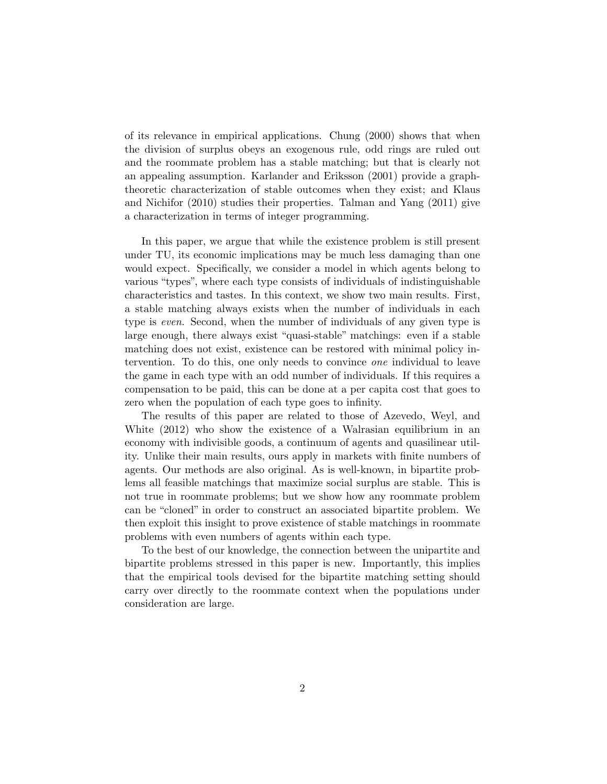of its relevance in empirical applications. Chung (2000) shows that when the division of surplus obeys an exogenous rule, odd rings are ruled out and the roommate problem has a stable matching; but that is clearly not an appealing assumption. Karlander and Eriksson (2001) provide a graphtheoretic characterization of stable outcomes when they exist; and Klaus and Nichifor (2010) studies their properties. Talman and Yang (2011) give a characterization in terms of integer programming.

In this paper, we argue that while the existence problem is still present under TU, its economic implications may be much less damaging than one would expect. Specifically, we consider a model in which agents belong to various "types", where each type consists of individuals of indistinguishable characteristics and tastes. In this context, we show two main results. First, a stable matching always exists when the number of individuals in each type is even. Second, when the number of individuals of any given type is large enough, there always exist "quasi-stable" matchings: even if a stable matching does not exist, existence can be restored with minimal policy intervention. To do this, one only needs to convince one individual to leave the game in each type with an odd number of individuals. If this requires a compensation to be paid, this can be done at a per capita cost that goes to zero when the population of each type goes to infinity.

The results of this paper are related to those of Azevedo, Weyl, and White (2012) who show the existence of a Walrasian equilibrium in an economy with indivisible goods, a continuum of agents and quasilinear utility. Unlike their main results, ours apply in markets with finite numbers of agents. Our methods are also original. As is well-known, in bipartite problems all feasible matchings that maximize social surplus are stable. This is not true in roommate problems; but we show how any roommate problem can be "cloned" in order to construct an associated bipartite problem. We then exploit this insight to prove existence of stable matchings in roommate problems with even numbers of agents within each type.

To the best of our knowledge, the connection between the unipartite and bipartite problems stressed in this paper is new. Importantly, this implies that the empirical tools devised for the bipartite matching setting should carry over directly to the roommate context when the populations under consideration are large.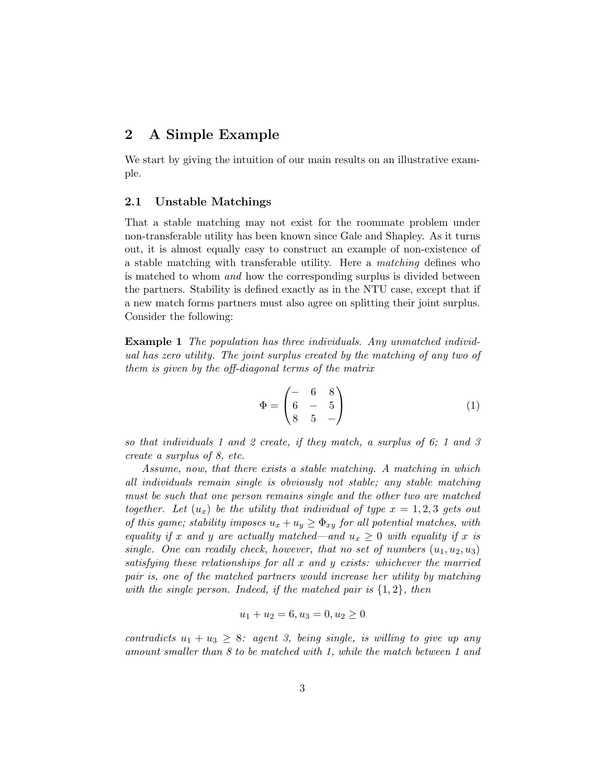## 2 A Simple Example

We start by giving the intuition of our main results on an illustrative example.

#### 2.1 Unstable Matchings

That a stable matching may not exist for the roommate problem under non-transferable utility has been known since Gale and Shapley. As it turns out, it is almost equally easy to construct an example of non-existence of a stable matching with transferable utility. Here a matching defines who is matched to whom and how the corresponding surplus is divided between the partners. Stability is defined exactly as in the NTU case, except that if a new match forms partners must also agree on splitting their joint surplus. Consider the following:

Example 1 The population has three individuals. Any unmatched individual has zero utility. The joint surplus created by the matching of any two of them is given by the off-diagonal terms of the matrix

$$
\Phi = \begin{pmatrix} - & 6 & 8 \\ 6 & - & 5 \\ 8 & 5 & - \end{pmatrix}
$$
 (1)

so that individuals 1 and 2 create, if they match, a surplus of 6; 1 and 3 create a surplus of 8, etc.

Assume, now, that there exists a stable matching. A matching in which all individuals remain single is obviously not stable; any stable matching must be such that one person remains single and the other two are matched together. Let  $(u_x)$  be the utility that individual of type  $x = 1, 2, 3$  gets out of this game; stability imposes  $u_x + u_y \geq \Phi_{xy}$  for all potential matches, with equality if x and y are actually matched—and  $u_x \geq 0$  with equality if x is single. One can readily check, however, that no set of numbers  $(u_1, u_2, u_3)$ satisfying these relationships for all x and y exists: whichever the married pair is, one of the matched partners would increase her utility by matching with the single person. Indeed, if the matched pair is  $\{1,2\}$ , then

$$
u_1 + u_2 = 6, u_3 = 0, u_2 \ge 0
$$

contradicts  $u_1 + u_3 \geq 8$ : agent 3, being single, is willing to give up any amount smaller than 8 to be matched with 1, while the match between 1 and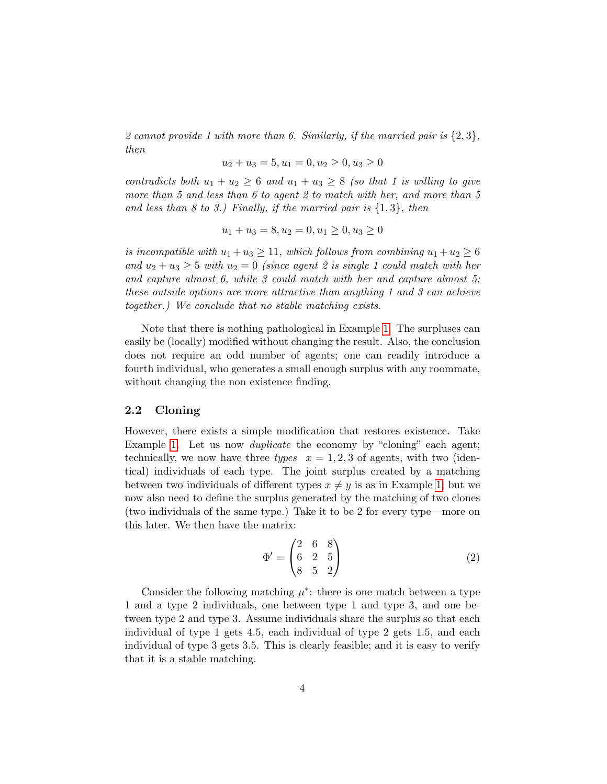2 cannot provide 1 with more than 6. Similarly, if the married pair is  $\{2,3\}$ , then

$$
u_2 + u_3 = 5, u_1 = 0, u_2 \ge 0, u_3 \ge 0
$$

contradicts both  $u_1 + u_2 \geq 6$  and  $u_1 + u_3 \geq 8$  (so that 1 is willing to give more than 5 and less than 6 to agent 2 to match with her, and more than 5 and less than 8 to 3.) Finally, if the married pair is  $\{1,3\}$ , then

$$
u_1 + u_3 = 8, u_2 = 0, u_1 \ge 0, u_3 \ge 0
$$

is incompatible with  $u_1 + u_3 \ge 11$ , which follows from combining  $u_1 + u_2 \ge 6$ and  $u_2 + u_3 \geq 5$  with  $u_2 = 0$  (since agent 2 is single 1 could match with her and capture almost 6, while 3 could match with her and capture almost 5; these outside options are more attractive than anything 1 and 3 can achieve together.) We conclude that no stable matching exists.

Note that there is nothing pathological in Example 1. The surpluses can easily be (locally) modified without changing the result. Also, the conclusion does not require an odd number of agents; one can readily introduce a fourth individual, who generates a small enough surplus with any roommate, without changing the non existence finding.

#### 2.2 Cloning

However, there exists a simple modification that restores existence. Take Example 1. Let us now *duplicate* the economy by "cloning" each agent; technically, we now have three types  $x = 1, 2, 3$  of agents, with two (identical) individuals of each type. The joint surplus created by a matching between two individuals of different types  $x \neq y$  is as in Example 1; but we now also need to define the surplus generated by the matching of two clones (two individuals of the same type.) Take it to be 2 for every type—more on this later. We then have the matrix:

$$
\Phi' = \begin{pmatrix} 2 & 6 & 8 \\ 6 & 2 & 5 \\ 8 & 5 & 2 \end{pmatrix}
$$
 (2)

Consider the following matching  $\mu^*$ : there is one match between a type 1 and a type 2 individuals, one between type 1 and type 3, and one between type 2 and type 3. Assume individuals share the surplus so that each individual of type 1 gets 4.5, each individual of type 2 gets 1.5, and each individual of type 3 gets 3.5. This is clearly feasible; and it is easy to verify that it is a stable matching.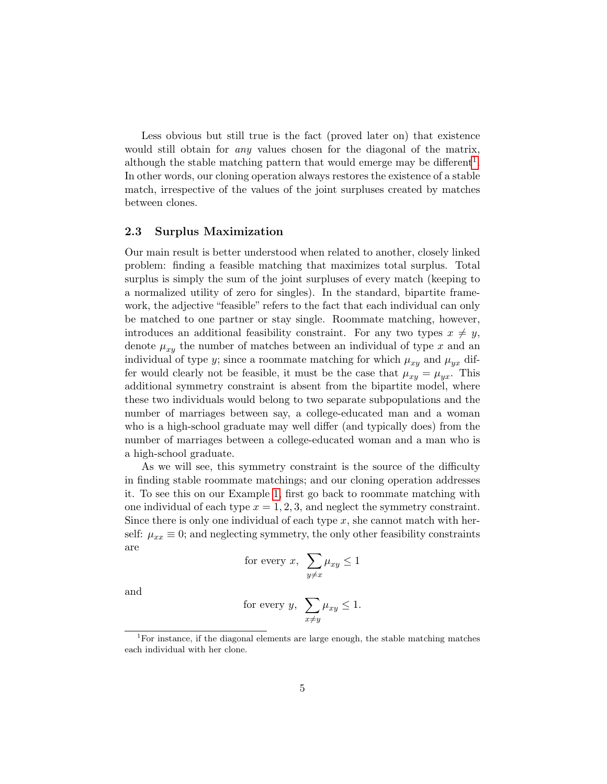Less obvious but still true is the fact (proved later on) that existence would still obtain for *any* values chosen for the diagonal of the matrix, although the stable matching pattern that would emerge may be different<sup>1</sup>. In other words, our cloning operation always restores the existence of a stable match, irrespective of the values of the joint surpluses created by matches between clones.

#### 2.3 Surplus Maximization

Our main result is better understood when related to another, closely linked problem: finding a feasible matching that maximizes total surplus. Total surplus is simply the sum of the joint surpluses of every match (keeping to a normalized utility of zero for singles). In the standard, bipartite framework, the adjective "feasible" refers to the fact that each individual can only be matched to one partner or stay single. Roommate matching, however, introduces an additional feasibility constraint. For any two types  $x \neq y$ , denote  $\mu_{xy}$  the number of matches between an individual of type x and an individual of type y; since a roommate matching for which  $\mu_{xy}$  and  $\mu_{yx}$  differ would clearly not be feasible, it must be the case that  $\mu_{xy} = \mu_{yx}$ . This additional symmetry constraint is absent from the bipartite model, where these two individuals would belong to two separate subpopulations and the number of marriages between say, a college-educated man and a woman who is a high-school graduate may well differ (and typically does) from the number of marriages between a college-educated woman and a man who is a high-school graduate.

As we will see, this symmetry constraint is the source of the difficulty in finding stable roommate matchings; and our cloning operation addresses it. To see this on our Example 1, first go back to roommate matching with one individual of each type  $x = 1, 2, 3$ , and neglect the symmetry constraint. Since there is only one individual of each type  $x$ , she cannot match with herself:  $\mu_{xx} \equiv 0$ ; and neglecting symmetry, the only other feasibility constraints are

for every 
$$
x
$$
,  $\sum_{y \neq x} \mu_{xy} \leq 1$ 

and

for every 
$$
y
$$
,  $\sum_{x \neq y} \mu_{xy} \leq 1$ .

<sup>&</sup>lt;sup>1</sup>For instance, if the diagonal elements are large enough, the stable matching matches each individual with her clone.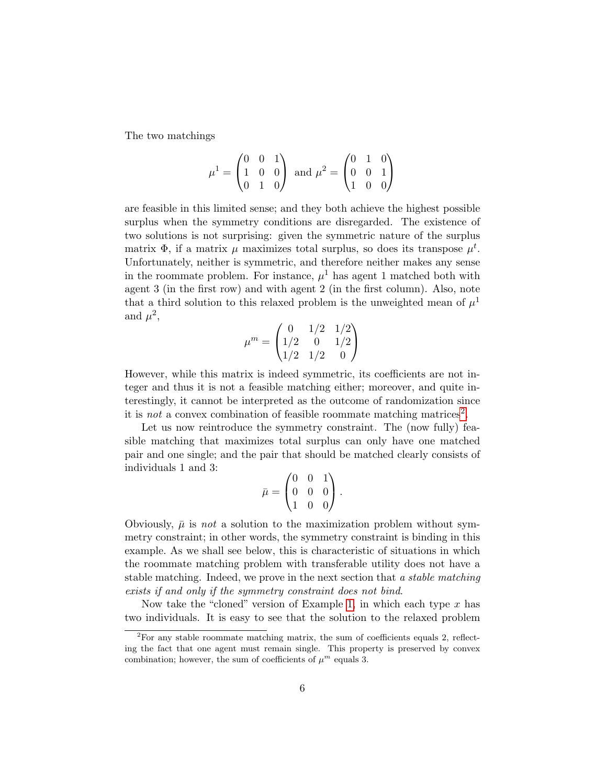The two matchings

$$
\mu^{1} = \begin{pmatrix} 0 & 0 & 1 \\ 1 & 0 & 0 \\ 0 & 1 & 0 \end{pmatrix} \text{ and } \mu^{2} = \begin{pmatrix} 0 & 1 & 0 \\ 0 & 0 & 1 \\ 1 & 0 & 0 \end{pmatrix}
$$

are feasible in this limited sense; and they both achieve the highest possible surplus when the symmetry conditions are disregarded. The existence of two solutions is not surprising: given the symmetric nature of the surplus matrix  $\Phi$ , if a matrix  $\mu$  maximizes total surplus, so does its transpose  $\mu^t$ . Unfortunately, neither is symmetric, and therefore neither makes any sense in the roommate problem. For instance,  $\mu^1$  has agent 1 matched both with agent 3 (in the first row) and with agent 2 (in the first column). Also, note that a third solution to this relaxed problem is the unweighted mean of  $\mu^1$ and  $\mu^2$ ,

$$
\mu^m = \begin{pmatrix} 0 & 1/2 & 1/2 \\ 1/2 & 0 & 1/2 \\ 1/2 & 1/2 & 0 \end{pmatrix}
$$

However, while this matrix is indeed symmetric, its coefficients are not integer and thus it is not a feasible matching either; moreover, and quite interestingly, it cannot be interpreted as the outcome of randomization since it is *not* a convex combination of feasible roommate matching matrices<sup>2</sup>.

Let us now reintroduce the symmetry constraint. The (now fully) feasible matching that maximizes total surplus can only have one matched pair and one single; and the pair that should be matched clearly consists of individuals 1 and 3:

$$
\bar{\mu} = \begin{pmatrix} 0 & 0 & 1 \\ 0 & 0 & 0 \\ 1 & 0 & 0 \end{pmatrix}.
$$

Obviously,  $\bar{\mu}$  is not a solution to the maximization problem without symmetry constraint; in other words, the symmetry constraint is binding in this example. As we shall see below, this is characteristic of situations in which the roommate matching problem with transferable utility does not have a stable matching. Indeed, we prove in the next section that a *stable matching* exists if and only if the symmetry constraint does not bind.

Now take the "cloned" version of Example 1, in which each type  $x$  has two individuals. It is easy to see that the solution to the relaxed problem

 ${}^{2}$ For any stable roommate matching matrix, the sum of coefficients equals 2, reflecting the fact that one agent must remain single. This property is preserved by convex combination; however, the sum of coefficients of  $\mu^m$  equals 3.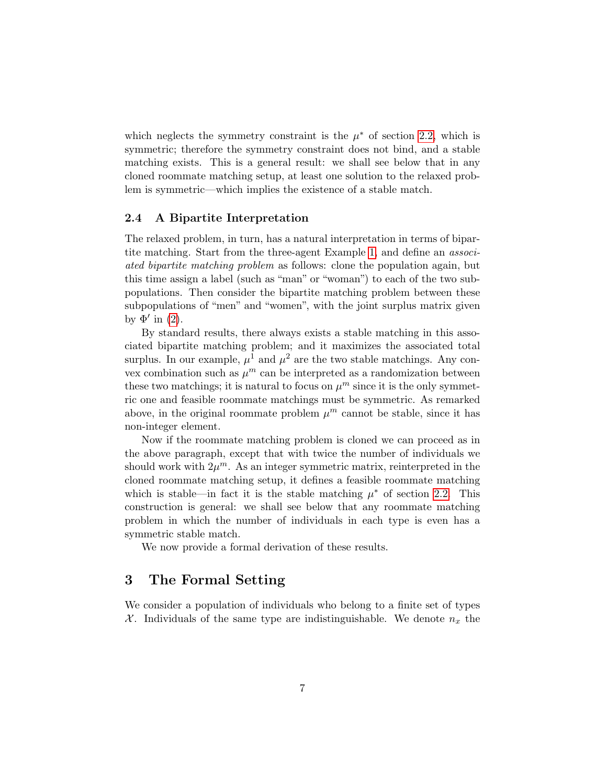which neglects the symmetry constraint is the  $\mu^*$  of section 2.2, which is symmetric; therefore the symmetry constraint does not bind, and a stable matching exists. This is a general result: we shall see below that in any cloned roommate matching setup, at least one solution to the relaxed problem is symmetric—which implies the existence of a stable match.

#### 2.4 A Bipartite Interpretation

The relaxed problem, in turn, has a natural interpretation in terms of bipartite matching. Start from the three-agent Example 1, and define an associated bipartite matching problem as follows: clone the population again, but this time assign a label (such as "man" or "woman") to each of the two subpopulations. Then consider the bipartite matching problem between these subpopulations of "men" and "women", with the joint surplus matrix given by  $\Phi'$  in (2).

By standard results, there always exists a stable matching in this associated bipartite matching problem; and it maximizes the associated total surplus. In our example,  $\mu^1$  and  $\mu^2$  are the two stable matchings. Any convex combination such as  $\mu^m$  can be interpreted as a randomization between these two matchings; it is natural to focus on  $\mu^m$  since it is the only symmetric one and feasible roommate matchings must be symmetric. As remarked above, in the original roommate problem  $\mu^m$  cannot be stable, since it has non-integer element.

Now if the roommate matching problem is cloned we can proceed as in the above paragraph, except that with twice the number of individuals we should work with  $2\mu^m$ . As an integer symmetric matrix, reinterpreted in the cloned roommate matching setup, it defines a feasible roommate matching which is stable—in fact it is the stable matching  $\mu^*$  of section 2.2. This construction is general: we shall see below that any roommate matching problem in which the number of individuals in each type is even has a symmetric stable match.

We now provide a formal derivation of these results.

### 3 The Formal Setting

We consider a population of individuals who belong to a finite set of types X. Individuals of the same type are indistinguishable. We denote  $n_x$  the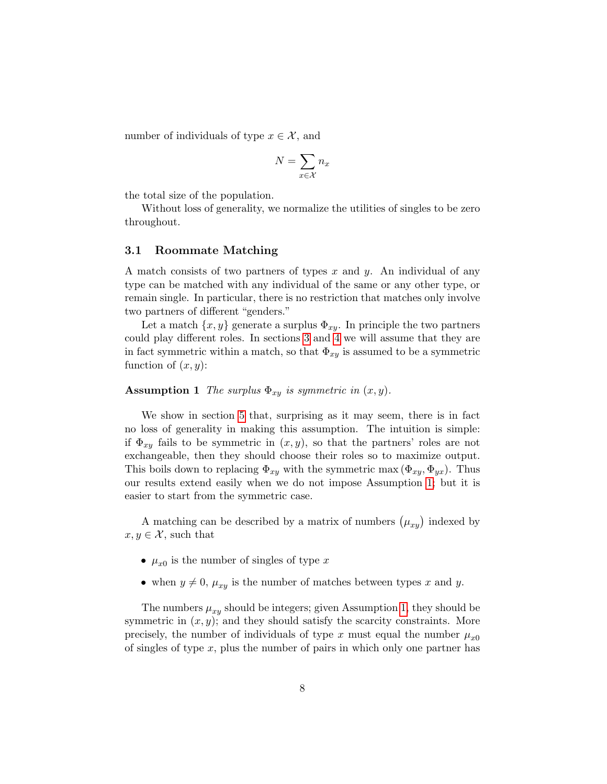number of individuals of type  $x \in \mathcal{X}$ , and

$$
N = \sum_{x \in \mathcal{X}} n_x
$$

the total size of the population.

Without loss of generality, we normalize the utilities of singles to be zero throughout.

#### 3.1 Roommate Matching

A match consists of two partners of types  $x$  and  $y$ . An individual of any type can be matched with any individual of the same or any other type, or remain single. In particular, there is no restriction that matches only involve two partners of different "genders."

Let a match  $\{x, y\}$  generate a surplus  $\Phi_{xy}$ . In principle the two partners could play different roles. In sections 3 and 4 we will assume that they are in fact symmetric within a match, so that  $\Phi_{xy}$  is assumed to be a symmetric function of  $(x, y)$ :

#### **Assumption 1** The surplus  $\Phi_{xy}$  is symmetric in  $(x, y)$ .

We show in section 5 that, surprising as it may seem, there is in fact no loss of generality in making this assumption. The intuition is simple: if  $\Phi_{xy}$  fails to be symmetric in  $(x, y)$ , so that the partners' roles are not exchangeable, then they should choose their roles so to maximize output. This boils down to replacing  $\Phi_{xy}$  with the symmetric max  $(\Phi_{xy}, \Phi_{yx})$ . Thus our results extend easily when we do not impose Assumption 1; but it is easier to start from the symmetric case.

A matching can be described by a matrix of numbers  $(\mu_{xy})$  indexed by  $x, y \in \mathcal{X}$ , such that

- $\mu_{x0}$  is the number of singles of type x
- when  $y \neq 0$ ,  $\mu_{xy}$  is the number of matches between types x and y.

The numbers  $\mu_{xy}$  should be integers; given Assumption 1, they should be symmetric in  $(x, y)$ ; and they should satisfy the scarcity constraints. More precisely, the number of individuals of type x must equal the number  $\mu_{x0}$ of singles of type  $x$ , plus the number of pairs in which only one partner has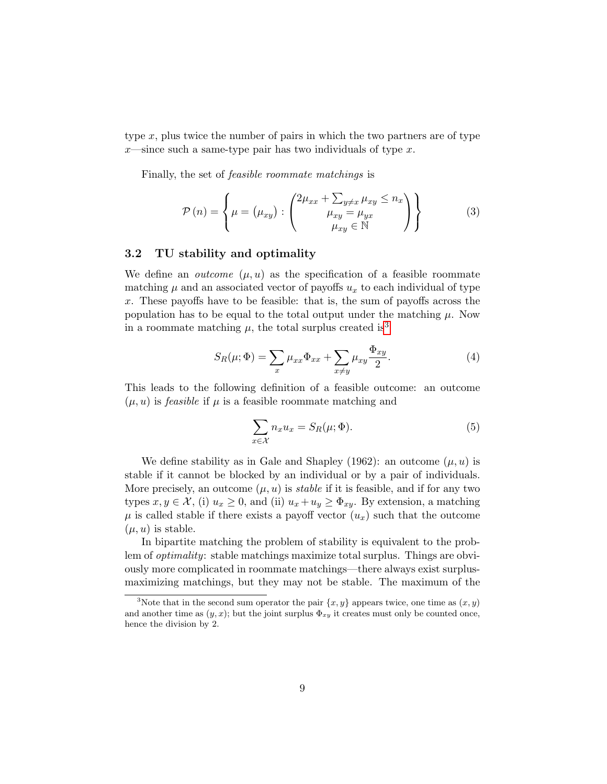type  $x$ , plus twice the number of pairs in which the two partners are of type  $x$ —since such a same-type pair has two individuals of type  $x$ .

Finally, the set of feasible roommate matchings is

$$
\mathcal{P}(n) = \left\{ \mu = (\mu_{xy}) : \begin{pmatrix} 2\mu_{xx} + \sum_{y \neq x} \mu_{xy} \leq n_x \\ \mu_{xy} = \mu_{yx} \\ \mu_{xy} \in \mathbb{N} \end{pmatrix} \right\}
$$
(3)

#### 3.2 TU stability and optimality

We define an *outcome*  $(\mu, u)$  as the specification of a feasible roommate matching  $\mu$  and an associated vector of payoffs  $u_x$  to each individual of type x. These payoffs have to be feasible: that is, the sum of payoffs across the population has to be equal to the total output under the matching  $\mu$ . Now in a roommate matching  $\mu$ , the total surplus created is<sup>3</sup>

$$
S_R(\mu; \Phi) = \sum_x \mu_{xx} \Phi_{xx} + \sum_{x \neq y} \mu_{xy} \frac{\Phi_{xy}}{2}.
$$
 (4)

This leads to the following definition of a feasible outcome: an outcome  $(\mu, u)$  is *feasible* if  $\mu$  is a feasible roommate matching and

$$
\sum_{x \in \mathcal{X}} n_x u_x = S_R(\mu; \Phi). \tag{5}
$$

We define stability as in Gale and Shapley (1962): an outcome  $(\mu, u)$  is stable if it cannot be blocked by an individual or by a pair of individuals. More precisely, an outcome  $(\mu, u)$  is *stable* if it is feasible, and if for any two types  $x, y \in \mathcal{X}$ , (i)  $u_x \geq 0$ , and (ii)  $u_x + u_y \geq \Phi_{xy}$ . By extension, a matching  $\mu$  is called stable if there exists a payoff vector  $(u_x)$  such that the outcome  $(\mu, u)$  is stable.

In bipartite matching the problem of stability is equivalent to the problem of optimality: stable matchings maximize total surplus. Things are obviously more complicated in roommate matchings—there always exist surplusmaximizing matchings, but they may not be stable. The maximum of the

<sup>&</sup>lt;sup>3</sup>Note that in the second sum operator the pair  $\{x, y\}$  appears twice, one time as  $(x, y)$ and another time as  $(y, x)$ ; but the joint surplus  $\Phi_{xy}$  it creates must only be counted once, hence the division by 2.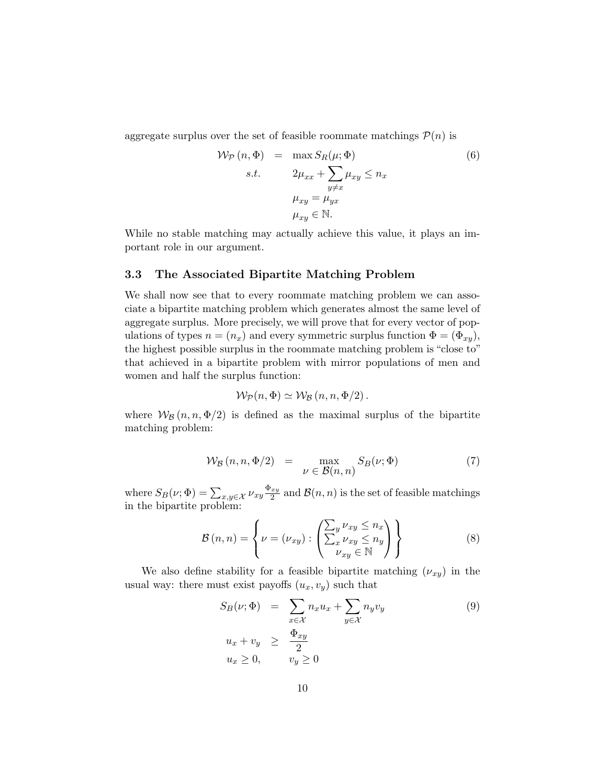aggregate surplus over the set of feasible roommate matchings  $P(n)$  is

$$
\mathcal{W}_{\mathcal{P}}(n, \Phi) = \max S_R(\mu; \Phi)
$$
  
s.t. 
$$
2\mu_{xx} + \sum_{y \neq x} \mu_{xy} \leq n_x
$$

$$
\mu_{xy} = \mu_{yx}
$$

$$
\mu_{xy} \in \mathbb{N}.
$$

$$
(6)
$$

While no stable matching may actually achieve this value, it plays an important role in our argument.

#### 3.3 The Associated Bipartite Matching Problem

We shall now see that to every roommate matching problem we can associate a bipartite matching problem which generates almost the same level of aggregate surplus. More precisely, we will prove that for every vector of populations of types  $n = (n_x)$  and every symmetric surplus function  $\Phi = (\Phi_{xy})$ , the highest possible surplus in the roommate matching problem is "close to" that achieved in a bipartite problem with mirror populations of men and women and half the surplus function:

$$
\mathcal{W}_{\mathcal{P}}(n,\Phi) \simeq \mathcal{W}_{\mathcal{B}}(n,n,\Phi/2).
$$

where  $W_B(n, n, \Phi/2)$  is defined as the maximal surplus of the bipartite matching problem:

$$
\mathcal{W}_{\mathcal{B}}(n, n, \Phi/2) = \max_{\nu \in \mathcal{B}(n, n)} S_{\mathcal{B}}(\nu; \Phi)
$$
 (7)

where  $S_B(\nu; \Phi) = \sum_{x,y \in \mathcal{X}} \nu_{xy} \frac{\Phi_{xy}}{2}$  $\frac{xy}{2}$  and  $\mathcal{B}(n,n)$  is the set of feasible matchings in the bipartite problem:

$$
\mathcal{B}(n,n) = \left\{ \nu = (\nu_{xy}) : \left( \frac{\sum_{y} \nu_{xy} \le n_x}{\sum_{x} \nu_{xy} \le n_y} \right) \right\}
$$
(8)

We also define stability for a feasible bipartite matching  $(\nu_{xy})$  in the usual way: there must exist payoffs  $(u_x, v_y)$  such that

$$
S_B(\nu; \Phi) = \sum_{x \in \mathcal{X}} n_x u_x + \sum_{y \in \mathcal{X}} n_y v_y
$$
  
\n
$$
u_x + v_y \ge \frac{\Phi_{xy}}{2}
$$
  
\n
$$
u_x \ge 0, \qquad v_y \ge 0
$$
\n(9)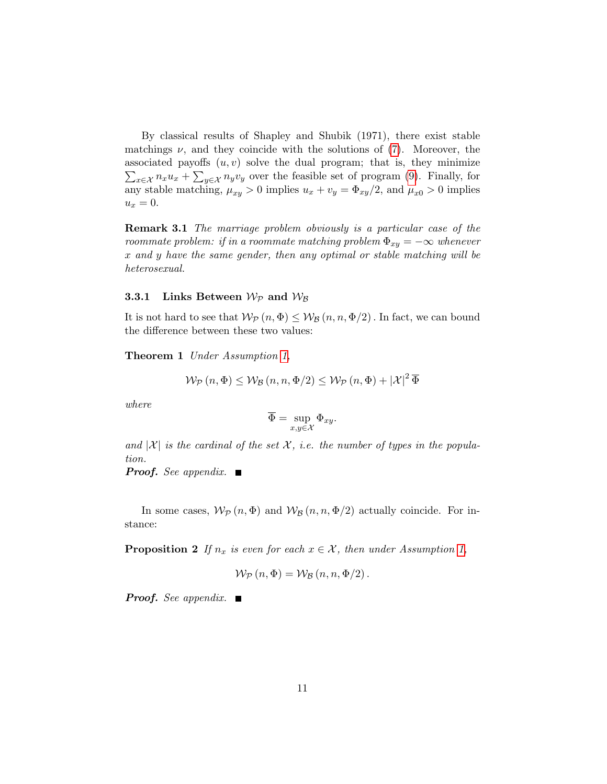By classical results of Shapley and Shubik (1971), there exist stable matchings  $\nu$ , and they coincide with the solutions of (7). Moreover, the  $\sum_{x \in \mathcal{X}} n_x u_x + \sum_{y \in \mathcal{X}} n_y v_y$  over the feasible set of program (9). Finally, for associated payoffs  $(u, v)$  solve the dual program; that is, they minimize any stable matching,  $\mu_{xy} > 0$  implies  $u_x + v_y = \Phi_{xy}/2$ , and  $\mu_{x0} > 0$  implies  $u_x=0.$ 

Remark 3.1 The marriage problem obviously is a particular case of the roommate problem: if in a roommate matching problem  $\Phi_{xy} = -\infty$  whenever x and y have the same gender, then any optimal or stable matching will be heterosexual.

#### **3.3.1** Links Between  $W_{\mathcal{P}}$  and  $W_{\mathcal{B}}$

It is not hard to see that  $W_P(n, \Phi) \leq W_B(n, n, \Phi/2)$ . In fact, we can bound the difference between these two values:

Theorem 1 Under Assumption 1,

$$
\mathcal{W}_{\mathcal{P}}\left(n,\Phi\right) \leq \mathcal{W}_{\mathcal{B}}\left(n,n,\Phi/2\right) \leq \mathcal{W}_{\mathcal{P}}\left(n,\Phi\right) + |\mathcal{X}|^2 \overline{\Phi}
$$

where

$$
\overline{\Phi} = \sup_{x,y \in \mathcal{X}} \Phi_{xy}.
$$

and  $|\mathcal{X}|$  is the cardinal of the set X, i.e. the number of types in the population.

**Proof.** See appendix.  $\blacksquare$ 

In some cases,  $W_P(n, \Phi)$  and  $W_B(n, n, \Phi/2)$  actually coincide. For instance:

**Proposition 2** If  $n_x$  is even for each  $x \in \mathcal{X}$ , then under Assumption 1,

$$
\mathcal{W}_{\mathcal{P}}\left(n,\Phi\right) = \mathcal{W}_{\mathcal{B}}\left(n,n,\Phi/2\right).
$$

**Proof.** See appendix.  $\blacksquare$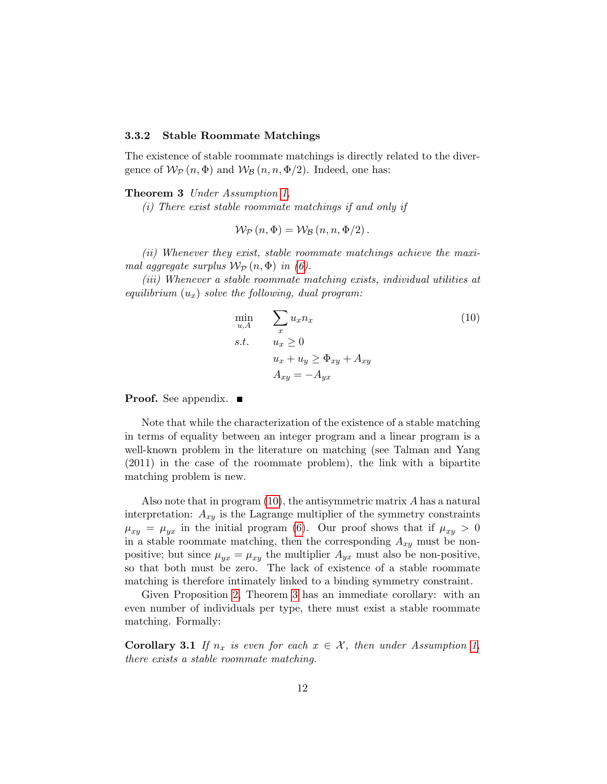#### 3.3.2 Stable Roommate Matchings

The existence of stable roommate matchings is directly related to the divergence of  $W_p(n, \Phi)$  and  $W_p(n, n, \Phi/2)$ . Indeed, one has:

#### Theorem 3 Under Assumption 1,

(i) There exist stable roommate matchings if and only if

$$
\mathcal{W}_{\mathcal{P}}(n,\Phi) = \mathcal{W}_{\mathcal{B}}(n,n,\Phi/2).
$$

(ii) Whenever they exist, stable roommate matchings achieve the maximal aggregate surplus  $W_{\mathcal{P}}(n, \Phi)$  in (6).

(iii) Whenever a stable roommate matching exists, individual utilities at equilibrium  $(u_x)$  solve the following, dual program:

$$
\min_{u,A} \sum_{x} u_x n_x
$$
\n
$$
s.t. \quad u_x \ge 0
$$
\n
$$
u_x + u_y \ge \Phi_{xy} + A_{xy}
$$
\n
$$
A_{xy} = -A_{yx}
$$
\n(10)

**Proof.** See appendix. ■

Note that while the characterization of the existence of a stable matching in terms of equality between an integer program and a linear program is a well-known problem in the literature on matching (see Talman and Yang (2011) in the case of the roommate problem), the link with a bipartite matching problem is new.

Also note that in program (10), the antisymmetric matrix A has a natural interpretation:  $A_{xy}$  is the Lagrange multiplier of the symmetry constraints  $\mu_{xy} = \mu_{yx}$  in the initial program (6). Our proof shows that if  $\mu_{xy} > 0$ in a stable roommate matching, then the corresponding  $A_{xy}$  must be nonpositive; but since  $\mu_{yx} = \mu_{xy}$  the multiplier  $A_{yx}$  must also be non-positive, so that both must be zero. The lack of existence of a stable roommate matching is therefore intimately linked to a binding symmetry constraint.

Given Proposition 2, Theorem 3 has an immediate corollary: with an even number of individuals per type, there must exist a stable roommate matching. Formally:

**Corollary 3.1** If  $n_x$  is even for each  $x \in \mathcal{X}$ , then under Assumption 1, there exists a stable roommate matching.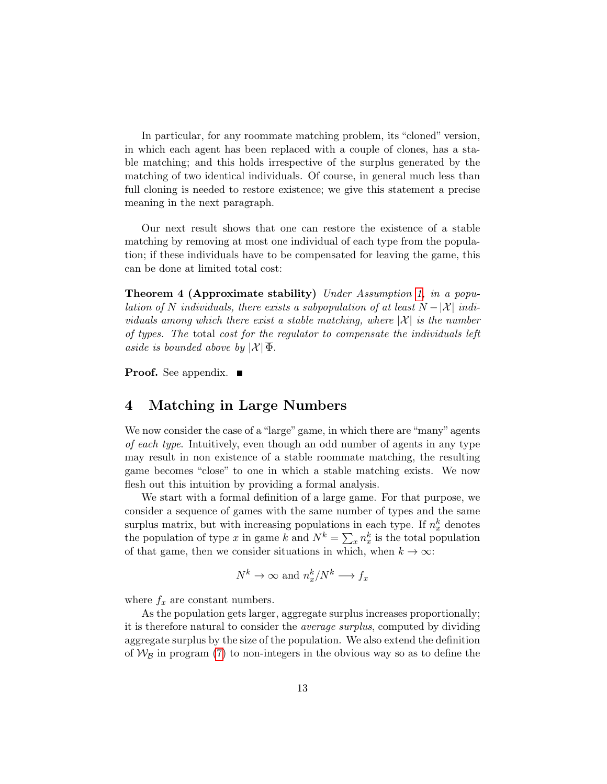In particular, for any roommate matching problem, its "cloned" version, in which each agent has been replaced with a couple of clones, has a stable matching; and this holds irrespective of the surplus generated by the matching of two identical individuals. Of course, in general much less than full cloning is needed to restore existence; we give this statement a precise meaning in the next paragraph.

Our next result shows that one can restore the existence of a stable matching by removing at most one individual of each type from the population; if these individuals have to be compensated for leaving the game, this can be done at limited total cost:

Theorem 4 (Approximate stability) Under Assumption 1, in a population of N individuals, there exists a subpopulation of at least  $N - |\mathcal{X}|$  individuals among which there exist a stable matching, where  $|\mathcal{X}|$  is the number of types. The total cost for the regulator to compensate the individuals left aside is bounded above by  $|\mathcal{X}| \Phi$ .

**Proof.** See appendix.  $\blacksquare$ 

## 4 Matching in Large Numbers

We now consider the case of a "large" game, in which there are "many" agents of each type. Intuitively, even though an odd number of agents in any type may result in non existence of a stable roommate matching, the resulting game becomes "close" to one in which a stable matching exists. We now flesh out this intuition by providing a formal analysis.

We start with a formal definition of a large game. For that purpose, we consider a sequence of games with the same number of types and the same surplus matrix, but with increasing populations in each type. If  $n_x^k$  denotes the population of type x in game k and  $N^k = \sum_x n_x^k$  is the total population of that game, then we consider situations in which, when  $k \to \infty$ :

$$
N^k \to \infty
$$
 and  $n_x^k/N^k \to f_x$ 

where  $f_x$  are constant numbers.

As the population gets larger, aggregate surplus increases proportionally; it is therefore natural to consider the average surplus, computed by dividing aggregate surplus by the size of the population. We also extend the definition of  $W_B$  in program (7) to non-integers in the obvious way so as to define the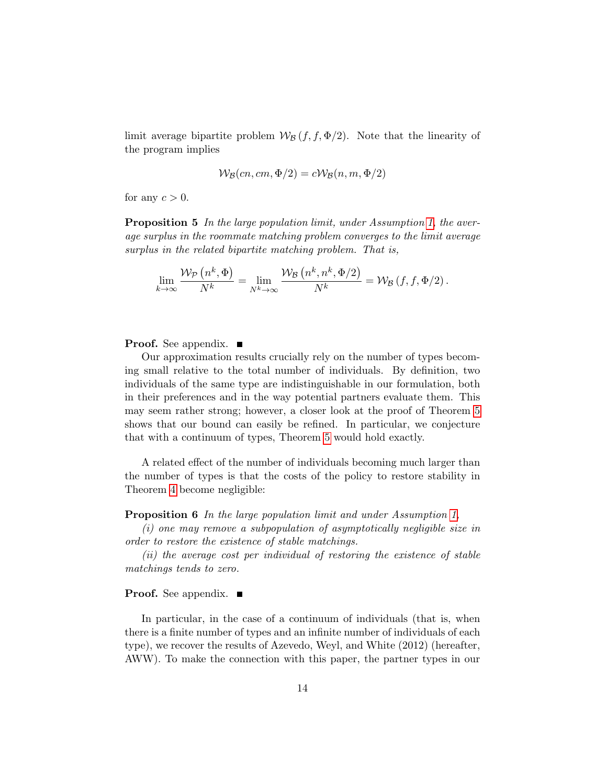limit average bipartite problem  $W_{\mathcal{B}}(f, f, \Phi/2)$ . Note that the linearity of the program implies

$$
W_{\mathcal{B}}(cn, cm, \Phi/2) = cW_{\mathcal{B}}(n, m, \Phi/2)
$$

for any  $c > 0$ .

Proposition 5 In the large population limit, under Assumption 1, the average surplus in the roommate matching problem converges to the limit average surplus in the related bipartite matching problem. That is,

$$
\lim_{k \to \infty} \frac{\mathcal{W}_{\mathcal{P}}\left(n^k, \Phi\right)}{N^k} = \lim_{N^k \to \infty} \frac{\mathcal{W}_{\mathcal{B}}\left(n^k, n^k, \Phi/2\right)}{N^k} = \mathcal{W}_{\mathcal{B}}\left(f, f, \Phi/2\right).
$$

**Proof.** See appendix.  $\blacksquare$ 

Our approximation results crucially rely on the number of types becoming small relative to the total number of individuals. By definition, two individuals of the same type are indistinguishable in our formulation, both in their preferences and in the way potential partners evaluate them. This may seem rather strong; however, a closer look at the proof of Theorem 5 shows that our bound can easily be refined. In particular, we conjecture that with a continuum of types, Theorem 5 would hold exactly.

A related effect of the number of individuals becoming much larger than the number of types is that the costs of the policy to restore stability in Theorem 4 become negligible:

Proposition 6 In the large population limit and under Assumption 1,

(i) one may remove a subpopulation of asymptotically negligible size in order to restore the existence of stable matchings.

(ii) the average cost per individual of restoring the existence of stable matchings tends to zero.

#### **Proof.** See appendix.  $\blacksquare$

In particular, in the case of a continuum of individuals (that is, when there is a finite number of types and an infinite number of individuals of each type), we recover the results of Azevedo, Weyl, and White (2012) (hereafter, AWW). To make the connection with this paper, the partner types in our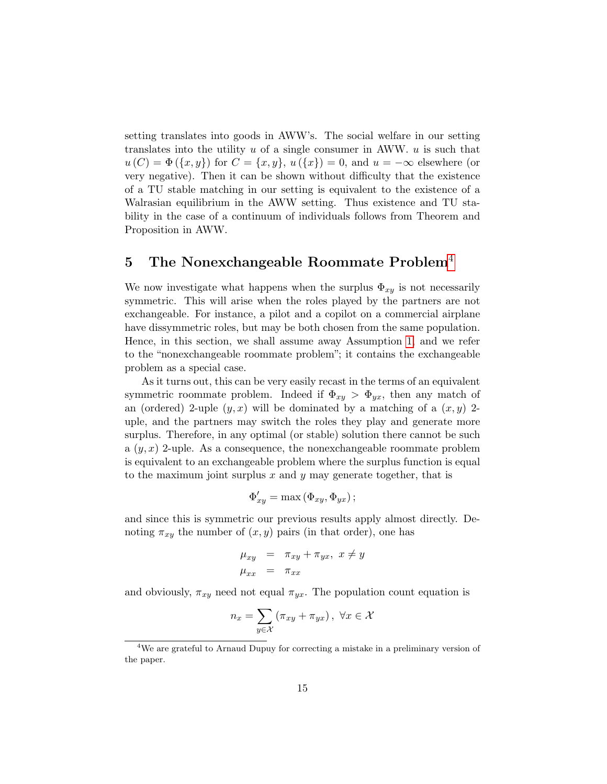setting translates into goods in AWW's. The social welfare in our setting translates into the utility  $u$  of a single consumer in AWW.  $u$  is such that  $u(C) = \Phi({x, y})$  for  $C = {x, y}$ ,  $u({x}) = 0$ , and  $u = -\infty$  elsewhere (or very negative). Then it can be shown without difficulty that the existence of a TU stable matching in our setting is equivalent to the existence of a Walrasian equilibrium in the AWW setting. Thus existence and TU stability in the case of a continuum of individuals follows from Theorem and Proposition in AWW.

## 5 The Nonexchangeable Roommate Problem<sup>4</sup>

We now investigate what happens when the surplus  $\Phi_{xy}$  is not necessarily symmetric. This will arise when the roles played by the partners are not exchangeable. For instance, a pilot and a copilot on a commercial airplane have dissymmetric roles, but may be both chosen from the same population. Hence, in this section, we shall assume away Assumption 1, and we refer to the "nonexchangeable roommate problem"; it contains the exchangeable problem as a special case.

As it turns out, this can be very easily recast in the terms of an equivalent symmetric roommate problem. Indeed if  $\Phi_{xy} > \Phi_{yx}$ , then any match of an (ordered) 2-uple  $(y, x)$  will be dominated by a matching of a  $(x, y)$  2uple, and the partners may switch the roles they play and generate more surplus. Therefore, in any optimal (or stable) solution there cannot be such a  $(y, x)$  2-uple. As a consequence, the nonexchangeable roommate problem is equivalent to an exchangeable problem where the surplus function is equal to the maximum joint surplus x and y may generate together, that is

$$
\Phi'_{xy} = \max (\Phi_{xy}, \Phi_{yx});
$$

and since this is symmetric our previous results apply almost directly. Denoting  $\pi_{xy}$  the number of  $(x, y)$  pairs (in that order), one has

$$
\mu_{xy} = \pi_{xy} + \pi_{yx}, \ x \neq y
$$
  

$$
\mu_{xx} = \pi_{xx}
$$

and obviously,  $\pi_{xy}$  need not equal  $\pi_{yx}$ . The population count equation is

$$
n_x = \sum_{y \in \mathcal{X}} (\pi_{xy} + \pi_{yx}), \ \forall x \in \mathcal{X}
$$

<sup>&</sup>lt;sup>4</sup>We are grateful to Arnaud Dupuy for correcting a mistake in a preliminary version of the paper.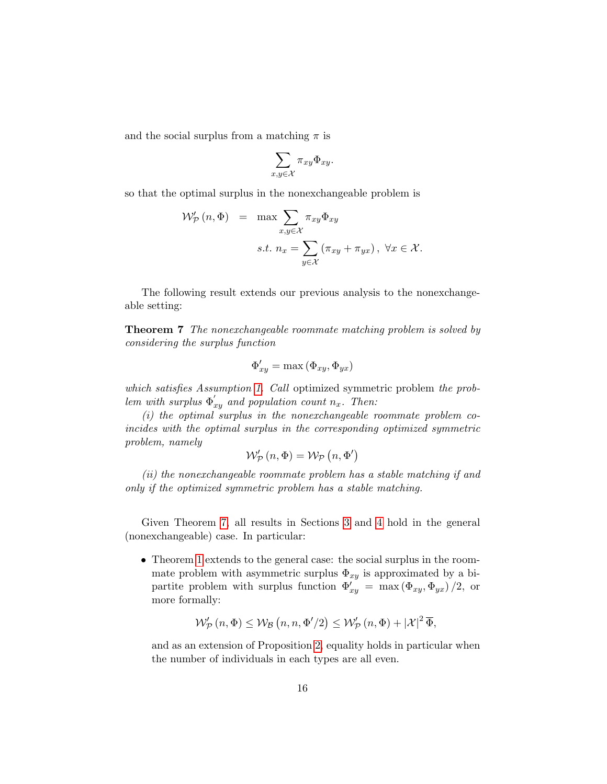and the social surplus from a matching  $\pi$  is

$$
\sum_{x,y\in\mathcal{X}}\pi_{xy}\Phi_{xy}.
$$

so that the optimal surplus in the nonexchangeable problem is

$$
\mathcal{W}'_{\mathcal{P}}(n, \Phi) = \max \sum_{x, y \in \mathcal{X}} \pi_{xy} \Phi_{xy}
$$
  
s.t.  $n_x = \sum_{y \in \mathcal{X}} (\pi_{xy} + \pi_{yx}), \ \forall x \in \mathcal{X}.$ 

The following result extends our previous analysis to the nonexchangeable setting:

**Theorem 7** The nonexchangeable roommate matching problem is solved by considering the surplus function

$$
\Phi_{xy}' = \max\left(\Phi_{xy}, \Phi_{yx}\right)
$$

which satisfies Assumption 1. Call optimized symmetric problem the problem with surplus  $\Phi'_{xy}$  and population count  $n_x$ . Then:

(i) the optimal surplus in the nonexchangeable roommate problem coincides with the optimal surplus in the corresponding optimized symmetric problem, namely

$$
\mathcal{W}'_{\mathcal{P}}(n,\Phi) = \mathcal{W}_{\mathcal{P}}(n,\Phi')
$$

(ii) the nonexchangeable roommate problem has a stable matching if and only if the optimized symmetric problem has a stable matching.

Given Theorem 7, all results in Sections 3 and 4 hold in the general (nonexchangeable) case. In particular:

• Theorem 1 extends to the general case: the social surplus in the roommate problem with asymmetric surplus  $\Phi_{xy}$  is approximated by a bipartite problem with surplus function  $\Phi'_{xy} = \max(\Phi_{xy}, \Phi_{yx})/2$ , or more formally:

$$
\mathcal{W}_{\mathcal{P}}'(n, \Phi) \le \mathcal{W}_{\mathcal{B}}\left(n, n, \Phi'/2\right) \le \mathcal{W}_{\mathcal{P}}'(n, \Phi) + |\mathcal{X}|^2 \overline{\Phi},
$$

and as an extension of Proposition 2, equality holds in particular when the number of individuals in each types are all even.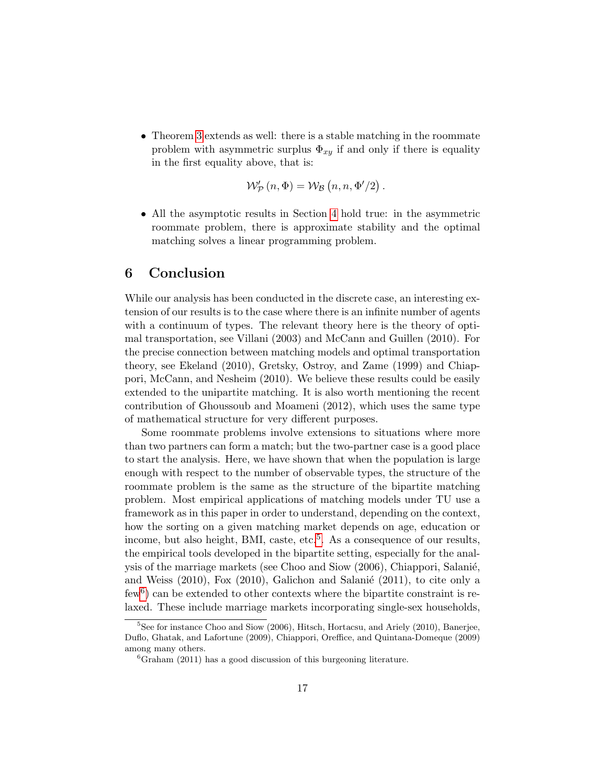• Theorem 3 extends as well: there is a stable matching in the roommate problem with asymmetric surplus  $\Phi_{xy}$  if and only if there is equality in the first equality above, that is:

$$
\mathcal{W}'_{\mathcal{P}}(n,\Phi) = \mathcal{W}_{\mathcal{B}}(n,n,\Phi'/2).
$$

• All the asymptotic results in Section 4 hold true: in the asymmetric roommate problem, there is approximate stability and the optimal matching solves a linear programming problem.

### 6 Conclusion

While our analysis has been conducted in the discrete case, an interesting extension of our results is to the case where there is an infinite number of agents with a continuum of types. The relevant theory here is the theory of optimal transportation, see Villani (2003) and McCann and Guillen (2010). For the precise connection between matching models and optimal transportation theory, see Ekeland (2010), Gretsky, Ostroy, and Zame (1999) and Chiappori, McCann, and Nesheim (2010). We believe these results could be easily extended to the unipartite matching. It is also worth mentioning the recent contribution of Ghoussoub and Moameni (2012), which uses the same type of mathematical structure for very different purposes.

Some roommate problems involve extensions to situations where more than two partners can form a match; but the two-partner case is a good place to start the analysis. Here, we have shown that when the population is large enough with respect to the number of observable types, the structure of the roommate problem is the same as the structure of the bipartite matching problem. Most empirical applications of matching models under TU use a framework as in this paper in order to understand, depending on the context, how the sorting on a given matching market depends on age, education or income, but also height, BMI, caste, etc.<sup>5</sup>. As a consequence of our results, the empirical tools developed in the bipartite setting, especially for the analysis of the marriage markets (see Choo and Siow (2006), Chiappori, Salanié, and Weiss  $(2010)$ , Fox  $(2010)$ , Galichon and Salanié  $(2011)$ , to cite only a few<sup>6</sup>) can be extended to other contexts where the bipartite constraint is relaxed. These include marriage markets incorporating single-sex households,

 ${}^{5}$ See for instance Choo and Siow (2006), Hitsch, Hortacsu, and Ariely (2010), Banerjee, Duflo, Ghatak, and Lafortune (2009), Chiappori, Oreffice, and Quintana-Domeque (2009) among many others.

 ${}^{6}$ Graham (2011) has a good discussion of this burgeoning literature.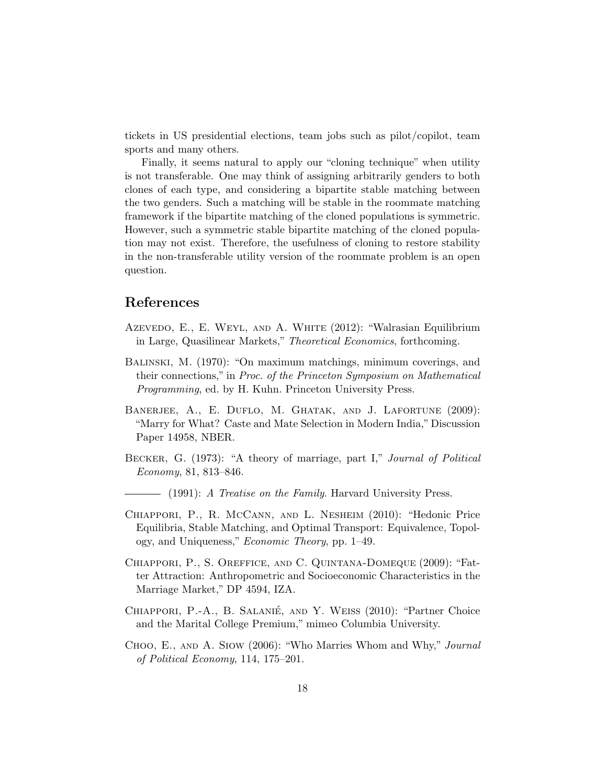tickets in US presidential elections, team jobs such as pilot/copilot, team sports and many others.

Finally, it seems natural to apply our "cloning technique" when utility is not transferable. One may think of assigning arbitrarily genders to both clones of each type, and considering a bipartite stable matching between the two genders. Such a matching will be stable in the roommate matching framework if the bipartite matching of the cloned populations is symmetric. However, such a symmetric stable bipartite matching of the cloned population may not exist. Therefore, the usefulness of cloning to restore stability in the non-transferable utility version of the roommate problem is an open question.

### References

- Azevedo, E., E. Weyl, and A. White (2012): "Walrasian Equilibrium in Large, Quasilinear Markets," Theoretical Economics, forthcoming.
- Balinski, M. (1970): "On maximum matchings, minimum coverings, and their connections," in Proc. of the Princeton Symposium on Mathematical Programming, ed. by H. Kuhn. Princeton University Press.
- BANERJEE, A., E. DUFLO, M. GHATAK, AND J. LAFORTUNE (2009): "Marry for What? Caste and Mate Selection in Modern India," Discussion Paper 14958, NBER.
- BECKER, G. (1973): "A theory of marriage, part I," Journal of Political Economy, 81, 813–846.
	- $-$  (1991): A Treatise on the Family. Harvard University Press.
- Chiappori, P., R. McCann, and L. Nesheim (2010): "Hedonic Price Equilibria, Stable Matching, and Optimal Transport: Equivalence, Topology, and Uniqueness," Economic Theory, pp. 1–49.
- Chiappori, P., S. Oreffice, and C. Quintana-Domeque (2009): "Fatter Attraction: Anthropometric and Socioeconomic Characteristics in the Marriage Market," DP 4594, IZA.
- CHIAPPORI, P.-A., B. SALANIÉ, AND Y. WEISS (2010): "Partner Choice and the Marital College Premium," mimeo Columbia University.
- Choo, E., and A. Siow (2006): "Who Marries Whom and Why," Journal of Political Economy, 114, 175–201.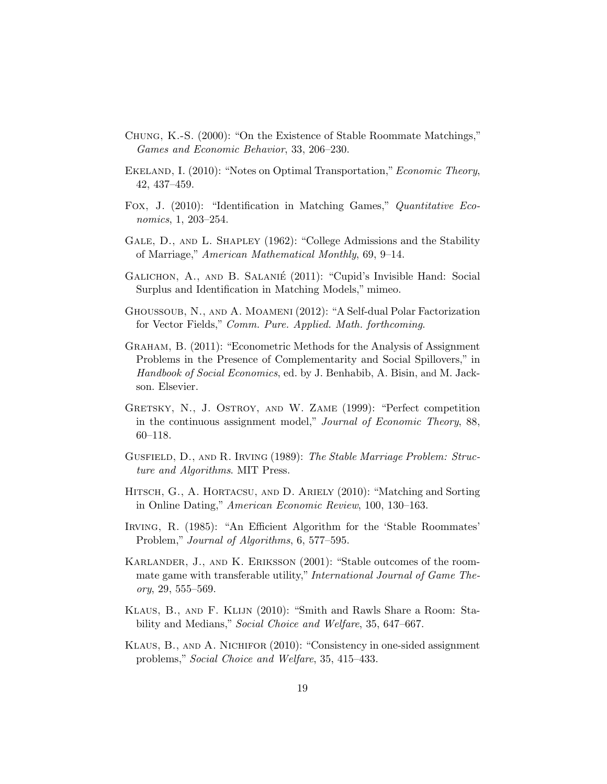- Chung, K.-S. (2000): "On the Existence of Stable Roommate Matchings," Games and Economic Behavior, 33, 206–230.
- EKELAND, I. (2010): "Notes on Optimal Transportation," *Economic Theory*, 42, 437–459.
- Fox, J. (2010): "Identification in Matching Games," Quantitative Economics, 1, 203–254.
- GALE, D., AND L. SHAPLEY (1962): "College Admissions and the Stability of Marriage," American Mathematical Monthly, 69, 9–14.
- GALICHON, A., AND B. SALANIÉ (2011): "Cupid's Invisible Hand: Social Surplus and Identification in Matching Models," mimeo.
- Ghoussoub, N., and A. Moameni (2012): "A Self-dual Polar Factorization for Vector Fields," Comm. Pure. Applied. Math. forthcoming.
- Graham, B. (2011): "Econometric Methods for the Analysis of Assignment Problems in the Presence of Complementarity and Social Spillovers," in Handbook of Social Economics, ed. by J. Benhabib, A. Bisin, and M. Jackson. Elsevier.
- GRETSKY, N., J. OSTROY, AND W. ZAME (1999): "Perfect competition in the continuous assignment model," Journal of Economic Theory, 88, 60–118.
- Gusfield, D., and R. Irving (1989): The Stable Marriage Problem: Structure and Algorithms. MIT Press.
- Hitsch, G., A. Hortacsu, and D. Ariely (2010): "Matching and Sorting in Online Dating," American Economic Review, 100, 130–163.
- Irving, R. (1985): "An Efficient Algorithm for the 'Stable Roommates' Problem," Journal of Algorithms, 6, 577–595.
- Karlander, J., and K. Eriksson (2001): "Stable outcomes of the roommate game with transferable utility," *International Journal of Game The* $ory, 29, 555 - 569.$
- Klaus, B., and F. Klijn (2010): "Smith and Rawls Share a Room: Stability and Medians," Social Choice and Welfare, 35, 647–667.
- Klaus, B., and A. Nichifor (2010): "Consistency in one-sided assignment problems," Social Choice and Welfare, 35, 415–433.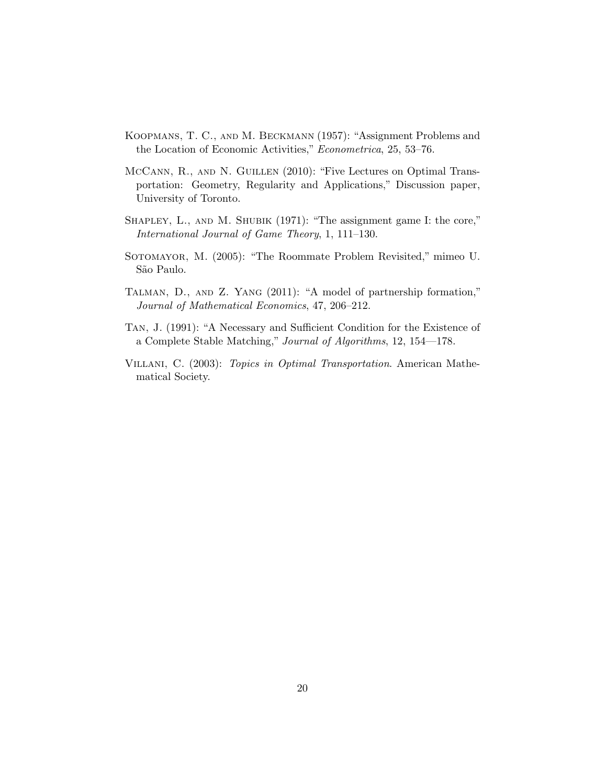- Koopmans, T. C., and M. Beckmann (1957): "Assignment Problems and the Location of Economic Activities," Econometrica, 25, 53–76.
- MCCANN, R., AND N. GUILLEN (2010): "Five Lectures on Optimal Transportation: Geometry, Regularity and Applications," Discussion paper, University of Toronto.
- SHAPLEY, L., AND M. SHUBIK (1971): "The assignment game I: the core," International Journal of Game Theory, 1, 111–130.
- Sotomayor, M. (2005): "The Roommate Problem Revisited," mimeo U. São Paulo.
- Talman, D., and Z. Yang (2011): "A model of partnership formation," Journal of Mathematical Economics, 47, 206–212.
- Tan, J. (1991): "A Necessary and Sufficient Condition for the Existence of a Complete Stable Matching," Journal of Algorithms, 12, 154—178.
- VILLANI, C. (2003): Topics in Optimal Transportation. American Mathematical Society.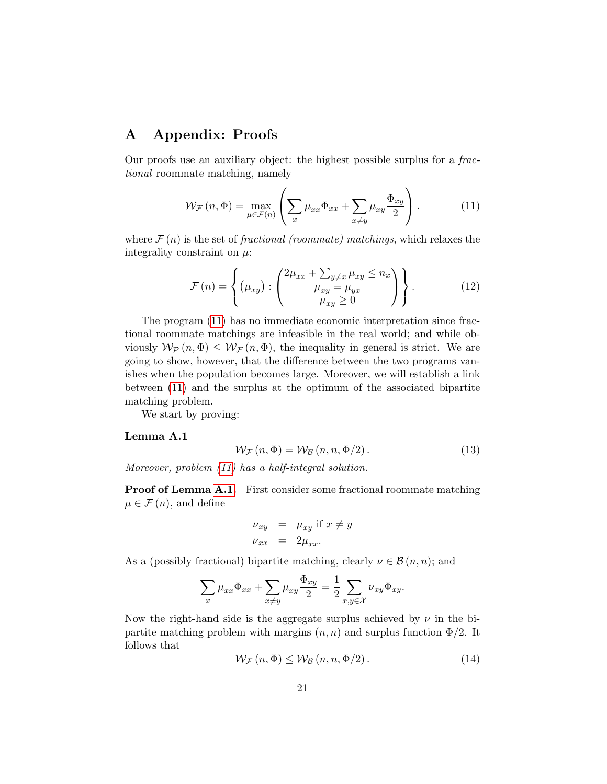## A Appendix: Proofs

Our proofs use an auxiliary object: the highest possible surplus for a fractional roommate matching, namely

$$
\mathcal{W}_{\mathcal{F}}(n,\Phi) = \max_{\mu \in \mathcal{F}(n)} \left( \sum_{x} \mu_{xx} \Phi_{xx} + \sum_{x \neq y} \mu_{xy} \frac{\Phi_{xy}}{2} \right). \tag{11}
$$

where  $\mathcal{F}(n)$  is the set of fractional (roommate) matchings, which relaxes the integrality constraint on  $\mu$ :

$$
\mathcal{F}(n) = \left\{ (\mu_{xy}) : \begin{pmatrix} 2\mu_{xx} + \sum_{y \neq x} \mu_{xy} \leq n_x \\ \mu_{xy} = \mu_{yx} \\ \mu_{xy} \geq 0 \end{pmatrix} \right\}.
$$
 (12)

The program (11) has no immediate economic interpretation since fractional roommate matchings are infeasible in the real world; and while obviously  $W_P(n, \Phi) \leq W_F(n, \Phi)$ , the inequality in general is strict. We are going to show, however, that the difference between the two programs vanishes when the population becomes large. Moreover, we will establish a link between (11) and the surplus at the optimum of the associated bipartite matching problem.

We start by proving:

#### Lemma A.1

$$
\mathcal{W}_{\mathcal{F}}(n,\Phi) = \mathcal{W}_{\mathcal{B}}(n,n,\Phi/2). \tag{13}
$$

Moreover, problem (11) has a half-integral solution.

Proof of Lemma A.1. First consider some fractional roommate matching  $\mu \in \mathcal{F}(n)$ , and define

$$
\begin{array}{rcl}\n\nu_{xy} & = & \mu_{xy} \text{ if } x \neq y \\
\nu_{xx} & = & 2\mu_{xx}.\n\end{array}
$$

As a (possibly fractional) bipartite matching, clearly  $\nu \in \mathcal{B}(n, n)$ ; and

$$
\sum_{x} \mu_{xx} \Phi_{xx} + \sum_{x \neq y} \mu_{xy} \frac{\Phi_{xy}}{2} = \frac{1}{2} \sum_{x,y \in \mathcal{X}} \nu_{xy} \Phi_{xy}.
$$

Now the right-hand side is the aggregate surplus achieved by  $\nu$  in the bipartite matching problem with margins  $(n, n)$  and surplus function  $\Phi/2$ . It follows that

$$
\mathcal{W}_{\mathcal{F}}\left(n,\Phi\right) \le \mathcal{W}_{\mathcal{B}}\left(n,n,\Phi/2\right). \tag{14}
$$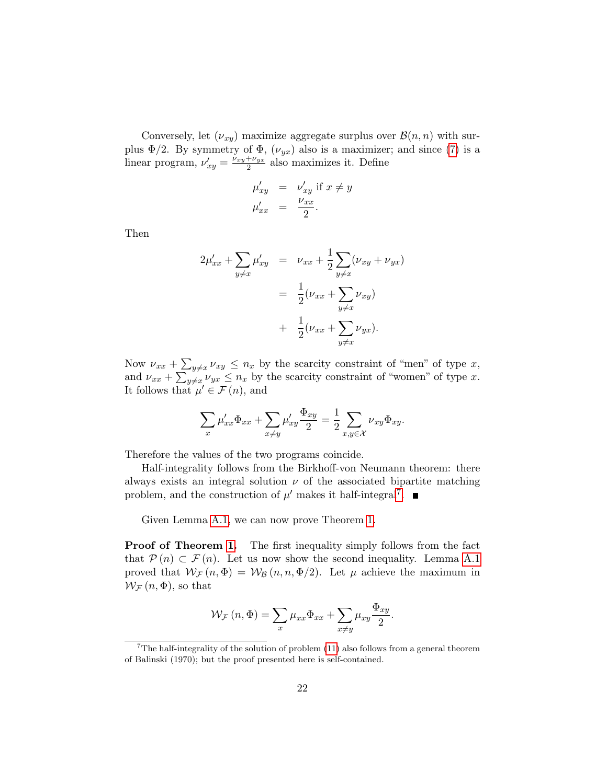Conversely, let  $(\nu_{xy})$  maximize aggregate surplus over  $\mathcal{B}(n,n)$  with surplus  $\Phi/2$ . By symmetry of  $\Phi$ ,  $(\nu_{yx})$  also is a maximizer; and since (7) is a linear program,  $\nu'_{xy} = \frac{\nu_{xy} + \nu_{yx}}{2}$  $\frac{1+\nu_{yx}}{2}$  also maximizes it. Define

$$
\mu'_{xy} = \nu'_{xy} \text{ if } x \neq y
$$
  

$$
\mu'_{xx} = \frac{\nu_{xx}}{2}.
$$

Then

$$
2\mu'_{xx} + \sum_{y \neq x} \mu'_{xy} = \nu_{xx} + \frac{1}{2} \sum_{y \neq x} (\nu_{xy} + \nu_{yx})
$$
  
=  $\frac{1}{2} (\nu_{xx} + \sum_{y \neq x} \nu_{xy})$   
+  $\frac{1}{2} (\nu_{xx} + \sum_{y \neq x} \nu_{yx}).$ 

Now  $\nu_{xx} + \sum_{y\neq x} \nu_{xy} \leq n_x$  by the scarcity constraint of "men" of type x, and  $\nu_{xx} + \sum_{y\neq x} \nu_{yx} \leq n_x$  by the scarcity constraint of "women" of type x. It follows that  $\mu' \in \mathcal{F}(n)$ , and

$$
\sum_{x} \mu'_{xx} \Phi_{xx} + \sum_{x \neq y} \mu'_{xy} \frac{\Phi_{xy}}{2} = \frac{1}{2} \sum_{x,y \in \mathcal{X}} \nu_{xy} \Phi_{xy}.
$$

Therefore the values of the two programs coincide.

Half-integrality follows from the Birkhoff-von Neumann theorem: there always exists an integral solution  $\nu$  of the associated bipartite matching problem, and the construction of  $\mu'$  makes it half-integral<sup>7</sup>.

Given Lemma A.1, we can now prove Theorem 1.

**Proof of Theorem 1.** The first inequality simply follows from the fact that  $\mathcal{P}(n) \subset \mathcal{F}(n)$ . Let us now show the second inequality. Lemma A.1 proved that  $W_F(n, \Phi) = W_B(n, n, \Phi/2)$ . Let  $\mu$  achieve the maximum in  $W_{\mathcal{F}}(n,\Phi)$ , so that

$$
\mathcal{W}_{\mathcal{F}}\left(n,\Phi\right) = \sum_{x} \mu_{xx} \Phi_{xx} + \sum_{x \neq y} \mu_{xy} \frac{\Phi_{xy}}{2}.
$$

<sup>&</sup>lt;sup>7</sup>The half-integrality of the solution of problem  $(11)$  also follows from a general theorem of Balinski (1970); but the proof presented here is self-contained.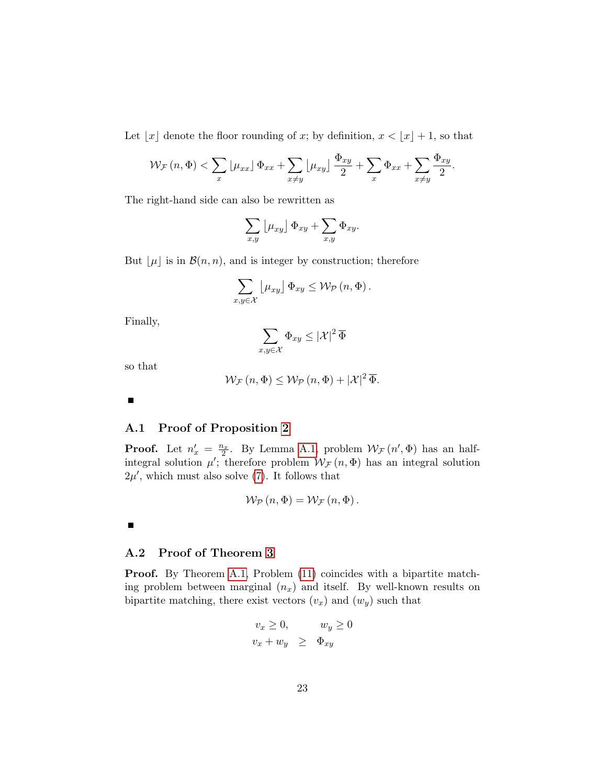Let  $\lfloor x \rfloor$  denote the floor rounding of x; by definition,  $x < \lfloor x \rfloor + 1$ , so that

$$
\mathcal{W}_{\mathcal{F}}\left(n,\Phi\right) < \sum_{x} \left\lfloor \mu_{xx} \right\rfloor \Phi_{xx} + \sum_{x \neq y} \left\lfloor \mu_{xy} \right\rfloor \frac{\Phi_{xy}}{2} + \sum_{x} \Phi_{xx} + \sum_{x \neq y} \frac{\Phi_{xy}}{2}.
$$

The right-hand side can also be rewritten as

$$
\sum_{x,y} \left[ \mu_{xy} \right] \Phi_{xy} + \sum_{x,y} \Phi_{xy}.
$$

But  $\lfloor \mu \rfloor$  is in  $\mathcal{B}(n, n)$ , and is integer by construction; therefore

$$
\sum_{x,y\in\mathcal{X}}\left[\mu_{xy}\right]\Phi_{xy}\leq\mathcal{W}_{\mathcal{P}}\left(n,\Phi\right).
$$

Finally,

$$
\sum_{x,y\in\mathcal{X}}\Phi_{xy}\leq |\mathcal{X}|^2\,\overline{\Phi}
$$

so that

$$
\mathcal{W}_{\mathcal{F}}\left(n,\Phi\right) \leq \mathcal{W}_{\mathcal{P}}\left(n,\Phi\right) + |\mathcal{X}|^2 \overline{\Phi}.
$$

 $\blacksquare$ 

#### A.1 Proof of Proposition 2

**Proof.** Let  $n'_x = \frac{n_x}{2}$ . By Lemma A.1, problem  $W_F(n', \Phi)$  has an halfintegral solution  $\mu'$ ; therefore problem  $\mathcal{W}_{\mathcal{F}}(n,\Phi)$  has an integral solution  $2\mu'$ , which must also solve (7). It follows that

$$
\mathcal{W}_{\mathcal{P}}\left(n,\Phi\right) = \mathcal{W}_{\mathcal{F}}\left(n,\Phi\right).
$$

 $\blacksquare$ 

### A.2 Proof of Theorem 3

Proof. By Theorem A.1, Problem (11) coincides with a bipartite matching problem between marginal  $(n_x)$  and itself. By well-known results on bipartite matching, there exist vectors  $(v_x)$  and  $(w_y)$  such that

$$
v_x \ge 0, \t w_y \ge 0
$$
  

$$
v_x + w_y \ge \Phi_{xy}
$$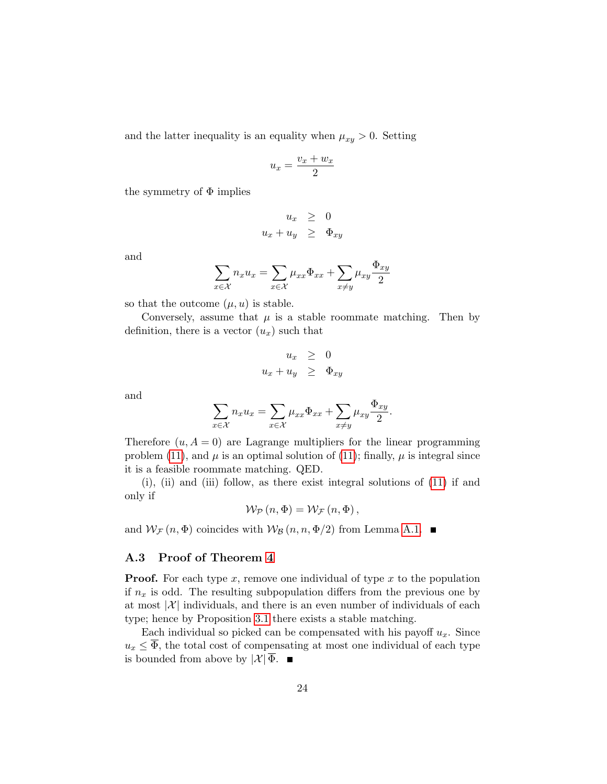and the latter inequality is an equality when  $\mu_{xy} > 0$ . Setting

$$
u_x = \frac{v_x + w_x}{2}
$$

the symmetry of  $\Phi$  implies

$$
u_x \geq 0
$$
  

$$
u_x + u_y \geq \Phi_{xy}
$$

and

$$
\sum_{x \in \mathcal{X}} n_x u_x = \sum_{x \in \mathcal{X}} \mu_{xx} \Phi_{xx} + \sum_{x \neq y} \mu_{xy} \frac{\Phi_{xy}}{2}
$$

so that the outcome  $(\mu, u)$  is stable.

Conversely, assume that  $\mu$  is a stable roommate matching. Then by definition, there is a vector  $(u_x)$  such that

$$
u_x \geq 0
$$
  

$$
u_x + u_y \geq \Phi_{xy}
$$

and

$$
\sum_{x \in \mathcal{X}} n_x u_x = \sum_{x \in \mathcal{X}} \mu_{xx} \Phi_{xx} + \sum_{x \neq y} \mu_{xy} \frac{\Phi_{xy}}{2}.
$$

Therefore  $(u, A = 0)$  are Lagrange multipliers for the linear programming problem (11), and  $\mu$  is an optimal solution of (11); finally,  $\mu$  is integral since it is a feasible roommate matching. QED.

(i), (ii) and (iii) follow, as there exist integral solutions of (11) if and only if

$$
\mathcal{W}_{\mathcal{P}}\left(n,\Phi\right) = \mathcal{W}_{\mathcal{F}}\left(n,\Phi\right),\,
$$

and  $W_F(n, \Phi)$  coincides with  $W_B(n, n, \Phi/2)$  from Lemma A.1.

#### A.3 Proof of Theorem 4

**Proof.** For each type x, remove one individual of type x to the population if  $n_x$  is odd. The resulting subpopulation differs from the previous one by at most  $|\mathcal{X}|$  individuals, and there is an even number of individuals of each type; hence by Proposition 3.1 there exists a stable matching.

Each individual so picked can be compensated with his payoff  $u_x$ . Since  $u_x \n\leq \overline{\Phi}$ , the total cost of compensating at most one individual of each type is bounded from above by  $|\mathcal{X}| \overline{\Phi}$ .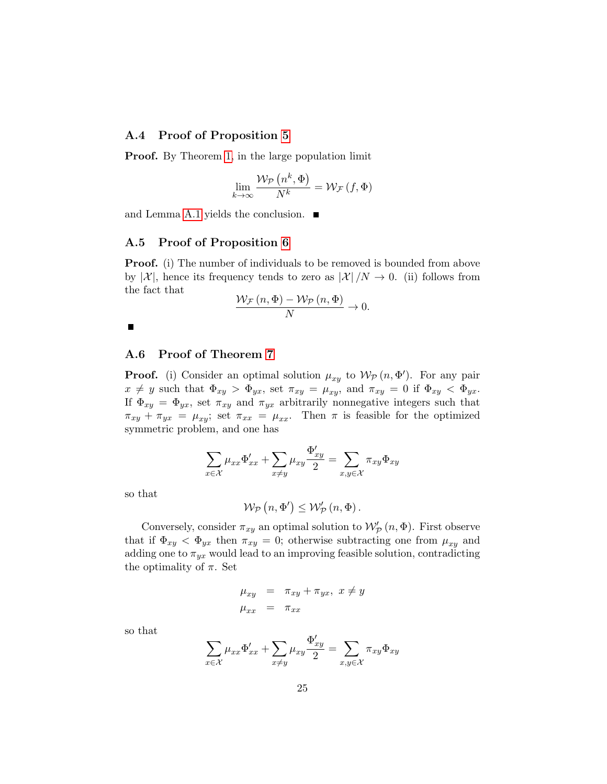#### A.4 Proof of Proposition 5

**Proof.** By Theorem 1, in the large population limit

$$
\lim_{k \to \infty} \frac{\mathcal{W}_{\mathcal{P}}\left(n^k, \Phi\right)}{N^k} = \mathcal{W}_{\mathcal{F}}\left(f, \Phi\right)
$$

and Lemma A.1 yields the conclusion.  $\blacksquare$ 

#### A.5 Proof of Proposition 6

**Proof.** (i) The number of individuals to be removed is bounded from above by  $|\mathcal{X}|$ , hence its frequency tends to zero as  $|\mathcal{X}|/N \to 0$ . (ii) follows from the fact that

$$
\frac{\mathcal{W}_{\mathcal{F}}\left(n,\Phi\right)-\mathcal{W}_{\mathcal{P}}\left(n,\Phi\right)}{N}\to 0.
$$

 $\blacksquare$ 

#### A.6 Proof of Theorem 7

**Proof.** (i) Consider an optimal solution  $\mu_{xy}$  to  $\mathcal{W}_{\mathcal{P}}(n, \Phi')$ . For any pair  $x \neq y$  such that  $\Phi_{xy} > \Phi_{yx}$ , set  $\pi_{xy} = \mu_{xy}$ , and  $\pi_{xy} = 0$  if  $\Phi_{xy} < \Phi_{yx}$ . If  $\Phi_{xy} = \Phi_{yx}$ , set  $\pi_{xy}$  and  $\pi_{yx}$  arbitrarily nonnegative integers such that  $\pi_{xy} + \pi_{yx} = \mu_{xy}$ ; set  $\pi_{xx} = \mu_{xx}$ . Then  $\pi$  is feasible for the optimized symmetric problem, and one has

$$
\sum_{x \in \mathcal{X}} \mu_{xx} \Phi'_{xx} + \sum_{x \neq y} \mu_{xy} \frac{\Phi'_{xy}}{2} = \sum_{x,y \in \mathcal{X}} \pi_{xy} \Phi_{xy}
$$

so that

$$
\mathcal{W}_{\mathcal{P}}\left(n,\Phi'\right)\leq\mathcal{W}'_{\mathcal{P}}\left(n,\Phi\right).
$$

Conversely, consider  $\pi_{xy}$  an optimal solution to  $\mathcal{W}'_{\mathcal{P}}(n,\Phi)$ . First observe that if  $\Phi_{xy} < \Phi_{yx}$  then  $\pi_{xy} = 0$ ; otherwise subtracting one from  $\mu_{xy}$  and adding one to  $\pi_{yx}$  would lead to an improving feasible solution, contradicting the optimality of  $\pi$ . Set

$$
\mu_{xy} = \pi_{xy} + \pi_{yx}, \ x \neq y
$$
  

$$
\mu_{xx} = \pi_{xx}
$$

so that

$$
\sum_{x \in \mathcal{X}} \mu_{xx} \Phi'_{xx} + \sum_{x \neq y} \mu_{xy} \frac{\Phi'_{xy}}{2} = \sum_{x,y \in \mathcal{X}} \pi_{xy} \Phi_{xy}
$$